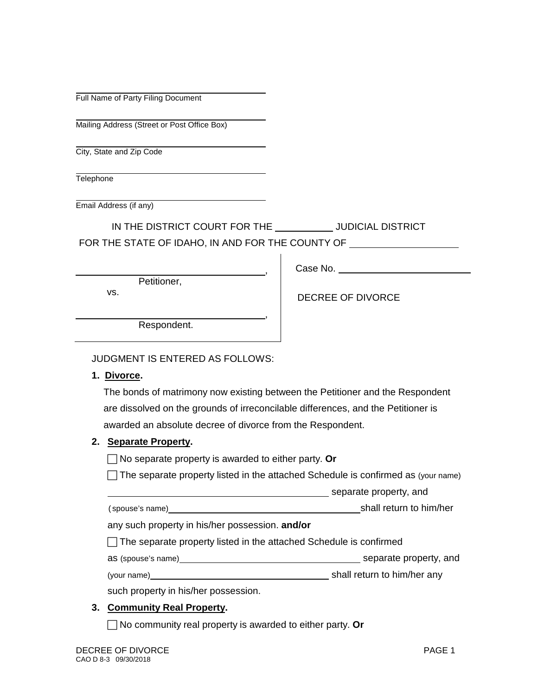Full Name of Party Filing Document

Mailing Address (Street or Post Office Box)

City, State and Zip Code

**Telephone** 

Email Address (if any)

IN THE DISTRICT COURT FOR THE \_\_\_\_\_\_\_\_\_\_\_\_ JUDICIAL DISTRICT

FOR THE STATE OF IDAHO, IN AND FOR THE COUNTY OF **FOR THE STATE** 

Petitioner,

vs.

DECREE OF DIVORCE

Case No.

Respondent.

#### JUDGMENT IS ENTERED AS FOLLOWS:

**1. Divorce.**

The bonds of matrimony now existing between the Petitioner and the Respondent are dissolved on the grounds of irreconcilable differences, and the Petitioner is awarded an absolute decree of divorce from the Respondent.

,

,

#### **2. Separate Property.**

No separate property is awarded to either party. **Or**

 $\Box$  The separate property listed in the attached Schedule is confirmed as (your name)

**separate property, and** separate property, and

(spouse's name) shall return to him/her

any such property in his/her possession. **and/or**

 $\Box$  The separate property listed in the attached Schedule is confirmed

as (spouse's name) separate property, and

(your name) shall return to him/her any

such property in his/her possession.

# **3. Community Real Property.**

No community real property is awarded to either party. **Or**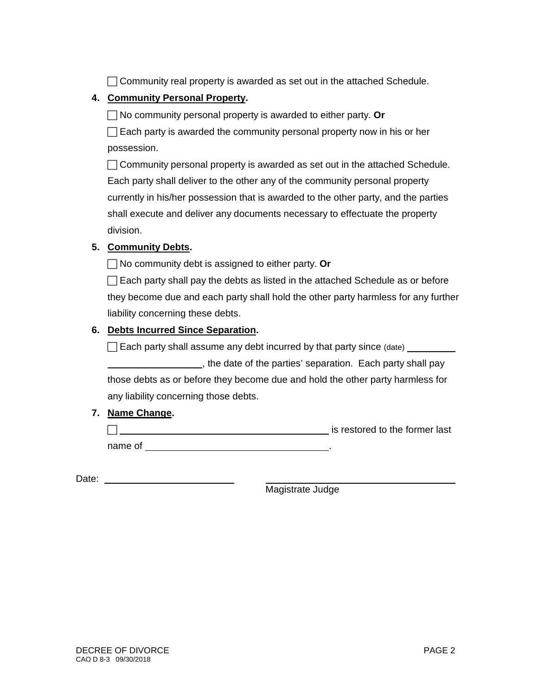◯ Community real property is awarded as set out in the attached Schedule.

# **4. Community Personal Property.**

No community personal property is awarded to either party. **Or**

 $\Box$  Each party is awarded the community personal property now in his or her possession.

 $\Box$  Community personal property is awarded as set out in the attached Schedule. Each party shall deliver to the other any of the community personal property currently in his/her possession that is awarded to the other party, and the parties shall execute and deliver any documents necessary to effectuate the property division.

## **5. Community Debts.**

No community debt is assigned to either party. **Or**

 $\Box$  Each party shall pay the debts as listed in the attached Schedule as or before they become due and each party shall hold the other party harmless for any further liability concerning these debts.

## **6. Debts Incurred Since Separation.**

 $\Box$  Each party shall assume any debt incurred by that party since (date)  $\Box$ 

 , the date of the parties' separation. Each party shall pay those debts as or before they become due and hold the other party harmless for any liability concerning those debts.

# **7. Name Change.**

**is restored to the former last** name of .

Date: **Date: Date: Date: Date: Date: Date: Date: Date: Date: Date: Date: Date: Date: Date: Date: Date: Date: Date: Date: Date: Date: Date: Date: Date: Date: Date: Date:**

Magistrate Judge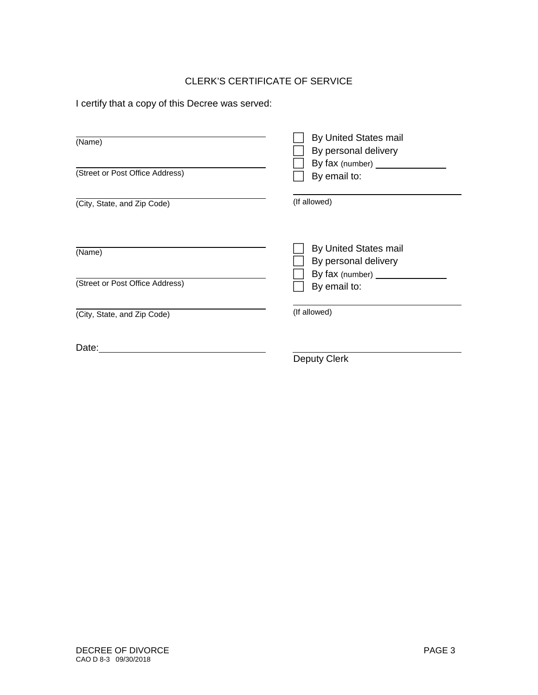# CLERK'S CERTIFICATE OF SERVICE

I certify that a copy of this Decree was served:

| (Name)                          | <b>By United States mail</b><br>By personal delivery<br>By fax (number) ________ |
|---------------------------------|----------------------------------------------------------------------------------|
| (Street or Post Office Address) | By email to:                                                                     |
| (City, State, and Zip Code)     | (If allowed)                                                                     |
| (Name)                          | <b>By United States mail</b><br>By personal delivery<br>By fax (number) ______   |
| (Street or Post Office Address) | By email to:                                                                     |
| (City, State, and Zip Code)     | (If allowed)                                                                     |
| Date:                           | Deputy Clerk                                                                     |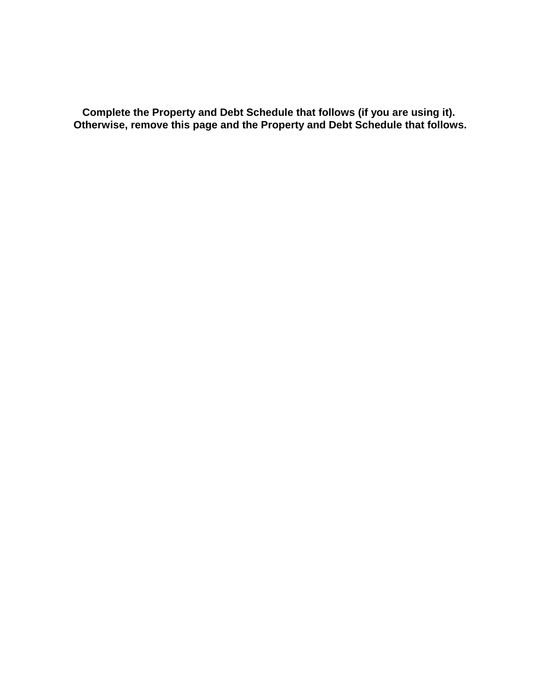**Complete the Property and Debt Schedule that follows (if you are using it). Otherwise, remove this page and the Property and Debt Schedule that follows.**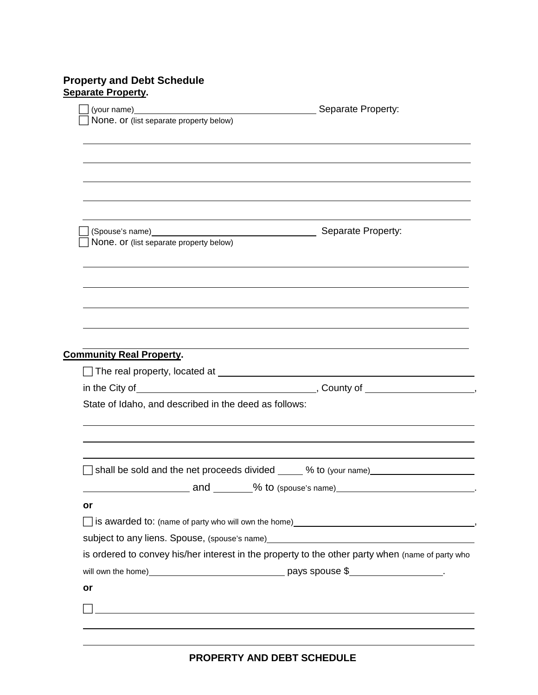# **Property and Debt Schedule Separate Property.**

|                                                                                                                                                                                                                                | (your name) Separate Property:                                                   |
|--------------------------------------------------------------------------------------------------------------------------------------------------------------------------------------------------------------------------------|----------------------------------------------------------------------------------|
| None. or (list separate property below)                                                                                                                                                                                        |                                                                                  |
|                                                                                                                                                                                                                                |                                                                                  |
|                                                                                                                                                                                                                                |                                                                                  |
|                                                                                                                                                                                                                                |                                                                                  |
|                                                                                                                                                                                                                                |                                                                                  |
|                                                                                                                                                                                                                                |                                                                                  |
|                                                                                                                                                                                                                                |                                                                                  |
|                                                                                                                                                                                                                                |                                                                                  |
| None. or (list separate property below)                                                                                                                                                                                        |                                                                                  |
|                                                                                                                                                                                                                                |                                                                                  |
|                                                                                                                                                                                                                                |                                                                                  |
|                                                                                                                                                                                                                                |                                                                                  |
|                                                                                                                                                                                                                                |                                                                                  |
|                                                                                                                                                                                                                                |                                                                                  |
|                                                                                                                                                                                                                                |                                                                                  |
|                                                                                                                                                                                                                                |                                                                                  |
|                                                                                                                                                                                                                                |                                                                                  |
|                                                                                                                                                                                                                                |                                                                                  |
| <b>Community Real Property.</b>                                                                                                                                                                                                |                                                                                  |
|                                                                                                                                                                                                                                |                                                                                  |
|                                                                                                                                                                                                                                |                                                                                  |
|                                                                                                                                                                                                                                |                                                                                  |
| State of Idaho, and described in the deed as follows:                                                                                                                                                                          |                                                                                  |
|                                                                                                                                                                                                                                |                                                                                  |
|                                                                                                                                                                                                                                |                                                                                  |
|                                                                                                                                                                                                                                |                                                                                  |
|                                                                                                                                                                                                                                |                                                                                  |
|                                                                                                                                                                                                                                |                                                                                  |
|                                                                                                                                                                                                                                |                                                                                  |
| or                                                                                                                                                                                                                             |                                                                                  |
|                                                                                                                                                                                                                                |                                                                                  |
| subject to any liens. Spouse, (spouse's name) example and the state of the state of the state of the state of the state of the state of the state of the state of the state of the state of the state of the state of the stat |                                                                                  |
| is ordered to convey his/her interest in the property to the other party when (name of party who                                                                                                                               |                                                                                  |
|                                                                                                                                                                                                                                |                                                                                  |
|                                                                                                                                                                                                                                |                                                                                  |
| or                                                                                                                                                                                                                             | shall be sold and the net proceeds divided _____ % to (your name)_______________ |